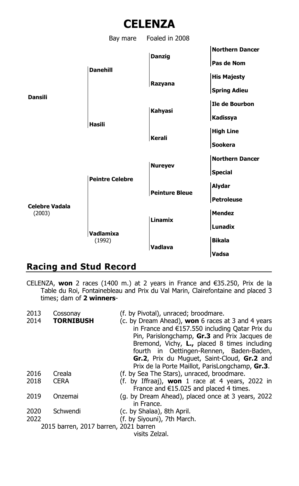



## **Racing and Stud Record**

CELENZA, **won** 2 races (1400 m.) at 2 years in France and €35.250, Prix de la Table du Roi, Fontainebleau and Prix du Val Marin, Clairefontaine and placed 3 times; dam of **2 winners**-

| 2013<br>2014                          | Cossonav<br>TORNIBUSH | (f. by Pivotal), unraced; broodmare.<br>(c. by Dream Ahead), won 6 races at 3 and 4 years<br>in France and €157.550 including Qatar Prix du<br>Pin, Parislongchamp, Gr.3 and Prix Jacques de<br>Bremond, Vichy, L., placed 8 times including<br>fourth in Oettingen-Rennen, Baden-Baden,<br>Gr.2, Prix du Muquet, Saint-Cloud, Gr.2 and<br>Prix de la Porte Maillot, ParisLongchamp, Gr.3. |
|---------------------------------------|-----------------------|--------------------------------------------------------------------------------------------------------------------------------------------------------------------------------------------------------------------------------------------------------------------------------------------------------------------------------------------------------------------------------------------|
| 2016                                  | Creala                | (f. by Sea The Stars), unraced, broodmare.                                                                                                                                                                                                                                                                                                                                                 |
| 2018                                  | <b>CERA</b>           | (f. by Iffraaj), <b>won</b> 1 race at 4 years, 2022 in<br>France and $E15.025$ and placed 4 times.                                                                                                                                                                                                                                                                                         |
| 2019                                  | Onzemai               | (g. by Dream Ahead), placed once at 3 years, 2022                                                                                                                                                                                                                                                                                                                                          |
|                                       |                       | in France.                                                                                                                                                                                                                                                                                                                                                                                 |
| 2020                                  | Schwendi              | (c. by Shalaa), 8th April.                                                                                                                                                                                                                                                                                                                                                                 |
| 2022                                  |                       | (f. by Siyouni), 7th March.                                                                                                                                                                                                                                                                                                                                                                |
| 2015 barren, 2017 barren, 2021 barren |                       |                                                                                                                                                                                                                                                                                                                                                                                            |
| visits Zelzal.                        |                       |                                                                                                                                                                                                                                                                                                                                                                                            |